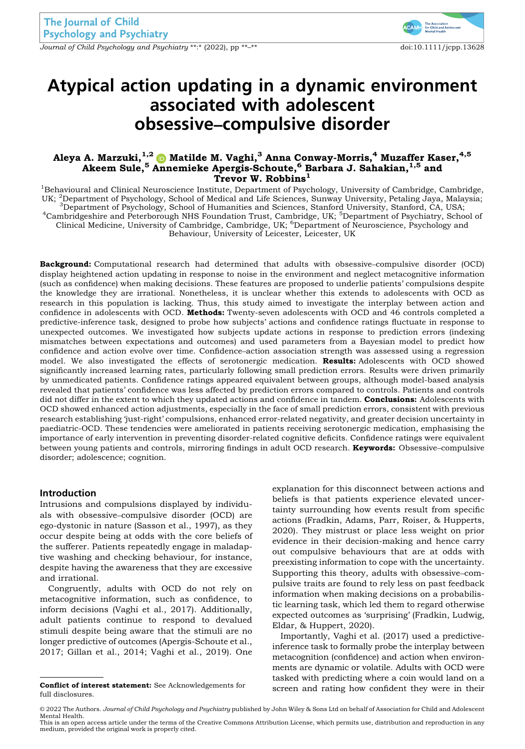Journal of Child Psychology and Psychiatry \*\*:\* (2022), pp \*\*<sup>\_\*\*</sup> doi:10.1111/jcpp.13628



# Atypical action updating in a dynamic environment associated with adolescent obsessive–compulsive disorder

# Aleya A. Marzuki, $^{1,2}$   $\bullet$  Matilde M. Vaghi, $^3$  Anna Conway-Morris, $^4$  Muzaffer Kaser, $^{4,5}$ Akeem Sule,<sup>5</sup> Annemieke Apergis-Schoute,<sup>6</sup> Barbara J. Sahakian,<sup>1,5</sup> and Trevor W. Robbins<sup>1</sup>

<sup>1</sup>Behavioural and Clinical Neuroscience Institute, Department of Psychology, University of Cambridge, Cambridge, UK; <sup>2</sup>Department of Psychology, School of Medical and Life Sciences, Sunway University, Petaling Jaya, Malaysia; <sup>3</sup>Department of Psychology, School of Humanities and Sciences, Stanford University, Stanford, CA, USA; <sup>4</sup>Cambridgeshire and Peterborough NHS Foundation Trust, Cambridge, UK; <sup>5</sup>Department of Psychiatry, School Cambridgeshire and Peterborough NHS Foundation Trust, Cambridge, UK; <sup>5</sup>Department of Psychiatry, School of Clinical Medicine, University of Cambridge, Cambridge, UK; <sup>6</sup>Department of Neuroscience, Psychology and Behaviour, University of Leicester, Leicester, UK

Background: Computational research had determined that adults with obsessive–compulsive disorder (OCD) display heightened action updating in response to noise in the environment and neglect metacognitive information (such as confidence) when making decisions. These features are proposed to underlie patients' compulsions despite the knowledge they are irrational. Nonetheless, it is unclear whether this extends to adolescents with OCD as research in this population is lacking. Thus, this study aimed to investigate the interplay between action and confidence in adolescents with OCD. Methods: Twenty-seven adolescents with OCD and 46 controls completed a predictive-inference task, designed to probe how subjects' actions and confidence ratings fluctuate in response to unexpected outcomes. We investigated how subjects update actions in response to prediction errors (indexing mismatches between expectations and outcomes) and used parameters from a Bayesian model to predict how confidence and action evolve over time. Confidence–action association strength was assessed using a regression model. We also investigated the effects of serotonergic medication. Results: Adolescents with OCD showed significantly increased learning rates, particularly following small prediction errors. Results were driven primarily by unmedicated patients. Confidence ratings appeared equivalent between groups, although model-based analysis revealed that patients' confidence was less affected by prediction errors compared to controls. Patients and controls did not differ in the extent to which they updated actions and confidence in tandem. Conclusions: Adolescents with OCD showed enhanced action adjustments, especially in the face of small prediction errors, consistent with previous research establishing 'just-right' compulsions, enhanced error-related negativity, and greater decision uncertainty in paediatric-OCD. These tendencies were ameliorated in patients receiving serotonergic medication, emphasising the importance of early intervention in preventing disorder-related cognitive deficits. Confidence ratings were equivalent between young patients and controls, mirroring findings in adult OCD research. Keywords: Obsessive–compulsive disorder; adolescence; cognition.

## Introduction

Intrusions and compulsions displayed by individuals with obsessive–compulsive disorder (OCD) are ego-dystonic in nature (Sasson et al., 1997), as they occur despite being at odds with the core beliefs of the sufferer. Patients repeatedly engage in maladaptive washing and checking behaviour, for instance, despite having the awareness that they are excessive and irrational.

Congruently, adults with OCD do not rely on metacognitive information, such as confidence, to inform decisions (Vaghi et al., 2017). Additionally, adult patients continue to respond to devalued stimuli despite being aware that the stimuli are no longer predictive of outcomes (Apergis-Schoute et al., 2017; Gillan et al., 2014; Vaghi et al., 2019). One

full disclosures.

explanation for this disconnect between actions and beliefs is that patients experience elevated uncertainty surrounding how events result from specific actions (Fradkin, Adams, Parr, Roiser, & Hupperts, 2020). They mistrust or place less weight on prior evidence in their decision-making and hence carry out compulsive behaviours that are at odds with preexisting information to cope with the uncertainty. Supporting this theory, adults with obsessive–compulsive traits are found to rely less on past feedback information when making decisions on a probabilistic learning task, which led them to regard otherwise expected outcomes as 'surprising' (Fradkin, Ludwig, Eldar, & Huppert, 2020).

Importantly, Vaghi et al. (2017) used a predictiveinference task to formally probe the interplay between metacognition (confidence) and action when environments are dynamic or volatile. Adults with OCD were tasked with predicting where a coin would land on a **Conflict of interest statement:** See Acknowledgements for screen and rating how confident they were in their

This is an open access article under the terms of the [Creative Commons Attribution](http://creativecommons.org/licenses/by/4.0/) License, which permits use, distribution and reproduction in any medium, provided the original work is properly cited.

<sup>© 2022</sup> The Authors. Journal of Child Psychology and Psychiatry published by John Wiley & Sons Ltd on behalf of Association for Child and Adolescent Mental Health.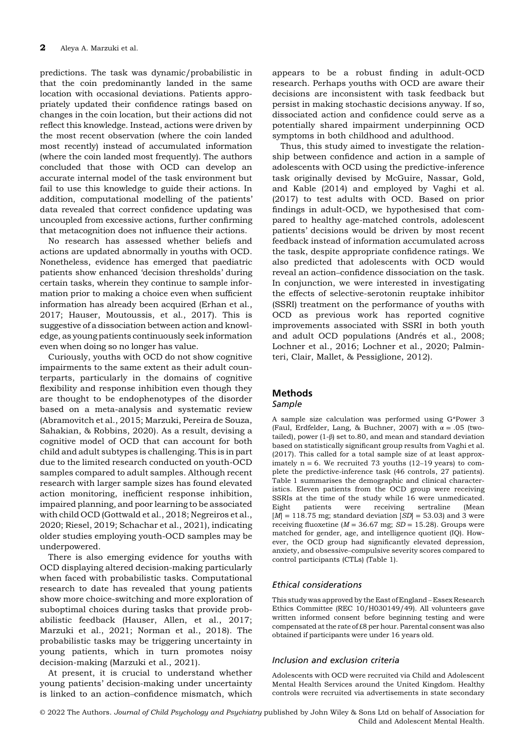predictions. The task was dynamic/probabilistic in that the coin predominantly landed in the same location with occasional deviations. Patients appropriately updated their confidence ratings based on changes in the coin location, but their actions did not reflect this knowledge. Instead, actions were driven by the most recent observation (where the coin landed most recently) instead of accumulated information (where the coin landed most frequently). The authors concluded that those with OCD can develop an accurate internal model of the task environment but fail to use this knowledge to guide their actions. In addition, computational modelling of the patients' data revealed that correct confidence updating was uncoupled from excessive actions, further confirming that metacognition does not influence their actions.

No research has assessed whether beliefs and actions are updated abnormally in youths with OCD. Nonetheless, evidence has emerged that paediatric patients show enhanced 'decision thresholds' during certain tasks, wherein they continue to sample information prior to making a choice even when sufficient information has already been acquired (Erhan et al., 2017; Hauser, Moutoussis, et al., 2017). This is suggestive of a dissociation between action and knowledge, as young patients continuously seek information even when doing so no longer has value.

Curiously, youths with OCD do not show cognitive impairments to the same extent as their adult counterparts, particularly in the domains of cognitive flexibility and response inhibition even though they are thought to be endophenotypes of the disorder based on a meta-analysis and systematic review (Abramovitch et al., 2015; Marzuki, Pereira de Souza, Sahakian, & Robbins, 2020). As a result, devising a cognitive model of OCD that can account for both child and adult subtypes is challenging. This is in part due to the limited research conducted on youth-OCD samples compared to adult samples. Although recent research with larger sample sizes has found elevated action monitoring, inefficient response inhibition, impaired planning, and poor learning to be associated with child OCD (Gottwald et al., 2018; Negreiros et al., 2020; Riesel, 2019; Schachar et al., 2021), indicating older studies employing youth-OCD samples may be underpowered.

There is also emerging evidence for youths with OCD displaying altered decision-making particularly when faced with probabilistic tasks. Computational research to date has revealed that young patients show more choice-switching and more exploration of suboptimal choices during tasks that provide probabilistic feedback (Hauser, Allen, et al., 2017; Marzuki et al., 2021; Norman et al., 2018). The probabilistic tasks may be triggering uncertainty in young patients, which in turn promotes noisy decision-making (Marzuki et al., 2021).

At present, it is crucial to understand whether young patients' decision-making under uncertainty is linked to an action–confidence mismatch, which

appears to be a robust finding in adult-OCD research. Perhaps youths with OCD are aware their decisions are inconsistent with task feedback but persist in making stochastic decisions anyway. If so, dissociated action and confidence could serve as a potentially shared impairment underpinning OCD symptoms in both childhood and adulthood.

Thus, this study aimed to investigate the relationship between confidence and action in a sample of adolescents with OCD using the predictive-inference task originally devised by McGuire, Nassar, Gold, and Kable (2014) and employed by Vaghi et al. (2017) to test adults with OCD. Based on prior findings in adult-OCD, we hypothesised that compared to healthy age-matched controls, adolescent patients' decisions would be driven by most recent feedback instead of information accumulated across the task, despite appropriate confidence ratings. We also predicted that adolescents with OCD would reveal an action–confidence dissociation on the task. In conjunction, we were interested in investigating the effects of selective-serotonin reuptake inhibitor (SSRI) treatment on the performance of youths with OCD as previous work has reported cognitive improvements associated with SSRI in both youth and adult OCD populations (Andrés et al., 2008; Lochner et al., 2016; Lochner et al., 2020; Palminteri, Clair, Mallet, & Pessiglione, 2012).

# Methods

# Sample

A sample size calculation was performed using G\*Power 3 (Faul, Erdfelder, Lang, & Buchner, 2007) with  $\alpha = .05$  (twotailed), power (1-β) set to.80, and mean and standard deviation based on statistically significant group results from Vaghi et al. (2017). This called for a total sample size of at least approximately  $n = 6$ . We recruited 73 youths (12–19 years) to complete the predictive-inference task (46 controls, 27 patients). Table 1 summarises the demographic and clinical characteristics. Eleven patients from the OCD group were receiving SSRIs at the time of the study while 16 were unmedicated. Eight patients were receiving sertraline (Mean  $[M] = 118.75$  mg; standard deviation  $[SD] = 53.03$ ) and 3 were receiving fluoxetine ( $M = 36.67$  mg;  $SD = 15.28$ ). Groups were matched for gender, age, and intelligence quotient (IQ). However, the OCD group had significantly elevated depression, anxiety, and obsessive–compulsive severity scores compared to control participants (CTLs) (Table 1).

# Ethical considerations

This study was approved by the East of England – Essex Research Ethics Committee (REC 10/H030149/49). All volunteers gave written informed consent before beginning testing and were compensated at the rate of £8 per hour. Parental consent was also obtained if participants were under 16 years old.

#### Inclusion and exclusion criteria

Adolescents with OCD were recruited via Child and Adolescent Mental Health Services around the United Kingdom. Healthy controls were recruited via advertisements in state secondary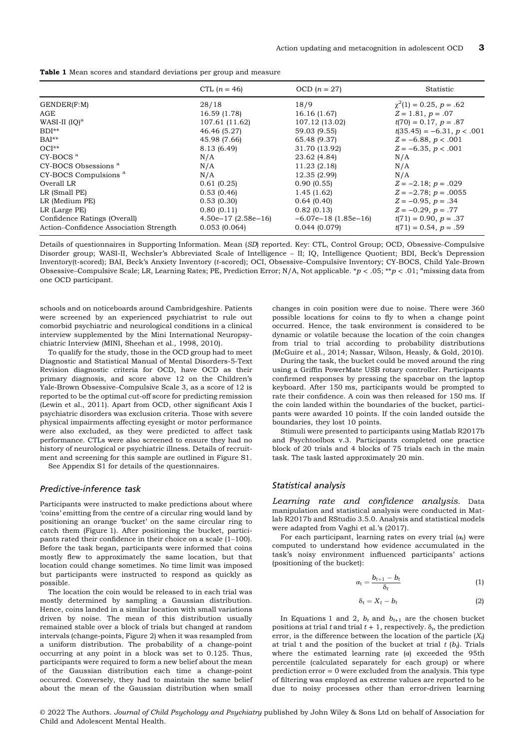|                                        | CTL $(n = 46)$       | OCD $(n = 27)$        | Statistic                    |
|----------------------------------------|----------------------|-----------------------|------------------------------|
| GENDER(F:M)                            | 28/18                | 18/9                  | $\chi^2(1) = 0.25, p = .62$  |
| AGE                                    | 16.59 (1.78)         | 16.16(1.67)           | $Z = 1.81, p = .07$          |
| WASI-II $[IQ]$ <sup>a</sup>            | 107.61 (11.62)       | 107.12 (13.02)        | $t(70) = 0.17, p = .87$      |
| $BDI**$                                | 46.46 (5.27)         | 59.03 (9.55)          | $t(35.45) = -6.31, p < .001$ |
| $BAI**$                                | 45.98 (7.66)         | 65.48 (9.37)          | $Z = -6.88, p < .001$        |
| $OCI**$                                | 8.13 (6.49)          | 31.70 (13.92)         | $Z = -6.35, p < .001$        |
| $CY-BOCS$ <sup>a</sup>                 | N/A                  | 23.62 (4.84)          | N/A                          |
| CY-BOCS Obsessions <sup>a</sup>        | N/A                  | 11.23(2.18)           | N/A                          |
| CY-BOCS Compulsions <sup>a</sup>       | N/A                  | 12.35 (2.99)          | N/A                          |
| Overall LR                             | 0.61(0.25)           | 0.90(0.55)            | $Z = -2.18$ ; $p = .029$     |
| LR (Small PE)                          | 0.53(0.46)           | 1.45(1.62)            | $Z = -2.78$ ; $p = .0055$    |
| LR (Medium PE)                         | 0.53(0.30)           | 0.64(0.40)            | $Z = -0.95, p = .34$         |
| LR (Large PE)                          | 0.80(0.11)           | 0.82(0.13)            | $Z = -0.29, p = .77$         |
| Confidence Ratings (Overall)           | $4.50e-17(2.58e-16)$ | $-6.07e-18(1.85e-16)$ | $t(71) = 0.90, p = .37$      |
| Action-Confidence Association Strength | 0.053(0.064)         | 0.044(0.079)          | $t(71) = 0.54, p = .59$      |

Details of questionnaires in Supporting Information. Mean (SD) reported. Key: CTL, Control Group; OCD, Obsessive–Compulsive Disorder group; WASI-II, Wechsler's Abbreviated Scale of Intelligence – II; IQ, Intelligence Quotient; BDI, Beck's Depression Inventory(t-scored); BAI, Beck's Anxiety Inventory (t-scored); OCI, Obsessive–Compulsive Inventory; CY-BOCS, Child Yale-Brown Obsessive–Compulsive Scale; LR, Learning Rates; PE, Prediction Error; N/A, Not applicable.  $*p < .05; **p < .01;$  amissing data from one OCD participant.

schools and on noticeboards around Cambridgeshire. Patients were screened by an experienced psychiatrist to rule out comorbid psychiatric and neurological conditions in a clinical interview supplemented by the Mini International Neuropsychiatric Interview (MINI, Sheehan et al., 1998, 2010).

To qualify for the study, those in the OCD group had to meet Diagnostic and Statistical Manual of Mental Disorders-5-Text Revision diagnostic criteria for OCD, have OCD as their primary diagnosis, and score above 12 on the Children's Yale-Brown Obsessive–Compulsive Scale 3, as a score of 12 is reported to be the optimal cut-off score for predicting remission (Lewin et al., 2011). Apart from OCD, other significant Axis I psychiatric disorders was exclusion criteria. Those with severe physical impairments affecting eyesight or motor performance were also excluded, as they were predicted to affect task performance. CTLs were also screened to ensure they had no history of neurological or psychiatric illness. Details of recruitment and screening for this sample are outlined in Figure S1.

See Appendix S1 for details of the questionnaires.

#### Predictive-inference task

Participants were instructed to make predictions about where 'coins' emitting from the centre of a circular ring would land by positioning an orange 'bucket' on the same circular ring to catch them (Figure 1). After positioning the bucket, participants rated their confidence in their choice on a scale (1–100). Before the task began, participants were informed that coins mostly flew to approximately the same location, but that location could change sometimes. No time limit was imposed but participants were instructed to respond as quickly as possible.

The location the coin would be released to in each trial was mostly determined by sampling a Gaussian distribution. Hence, coins landed in a similar location with small variations driven by noise. The mean of this distribution usually remained stable over a block of trials but changed at random intervals (change-points, Figure 2) when it was resampled from a uniform distribution. The probability of a change-point occurring at any point in a block was set to 0.125. Thus, participants were required to form a new belief about the mean of the Gaussian distribution each time a change-point occurred. Conversely, they had to maintain the same belief about the mean of the Gaussian distribution when small

changes in coin position were due to noise. There were 360 possible locations for coins to fly to when a change point occurred. Hence, the task environment is considered to be dynamic or volatile because the location of the coin changes from trial to trial according to probability distributions (McGuire et al., 2014; Nassar, Wilson, Heasly, & Gold, 2010).

During the task, the bucket could be moved around the ring using a Griffin PowerMate USB rotary controller. Participants confirmed responses by pressing the spacebar on the laptop keyboard. After 150 ms, participants would be prompted to rate their confidence. A coin was then released for 150 ms. If the coin landed within the boundaries of the bucket, participants were awarded 10 points. If the coin landed outside the boundaries, they lost 10 points.

Stimuli were presented to participants using Matlab R2017b and Psychtoolbox v.3. Participants completed one practice block of 20 trials and 4 blocks of 75 trials each in the main task. The task lasted approximately 20 min.

#### Statistical analysis

Learning rate and confidence analysis. Data manipulation and statistical analysis were conducted in Matlab R2017b and RStudio 3.5.0. Analysis and statistical models were adapted from Vaghi et al.'s (2017).

For each participant, learning rates on every trial  $(\alpha_t)$  were computed to understand how evidence accumulated in the task's noisy environment influenced participants' actions (positioning of the bucket):

$$
\alpha_{t} = \frac{b_{t+1} - b_{t}}{\delta_{t}}
$$
 (1)

$$
\delta_t = X_t - b_t \tag{2}
$$

In Equations 1 and 2,  $b_t$  and  $b_{t+1}$  are the chosen bucket positions at trial t and trial  $t + 1$ , respectively.  $\delta_t$ , the prediction error, is the difference between the location of the particle  $(X_t)$ at trial t and the position of the bucket at trial  $t (b_t)$ . Trials where the estimated learning rate (α) exceeded the 95th percentile (calculated separately for each group) or where prediction error = 0 were excluded from the analysis. This type of filtering was employed as extreme values are reported to be due to noisy processes other than error-driven learning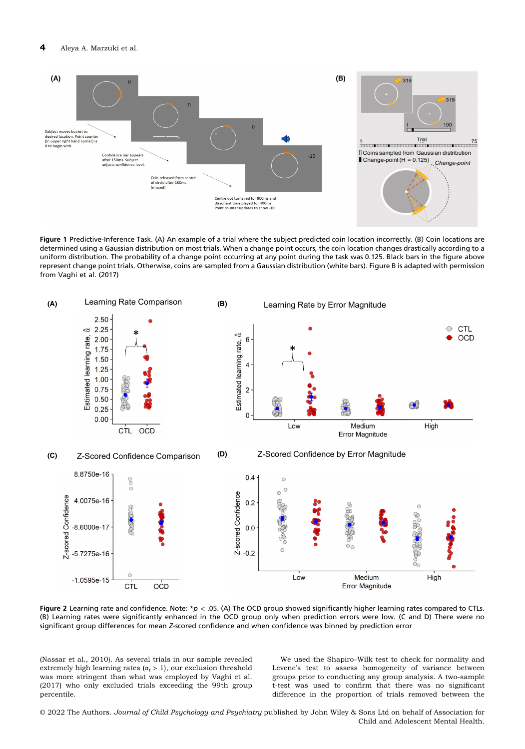

Figure 1 Predictive-Inference Task. (A) An example of a trial where the subject predicted coin location incorrectly. (B) Coin locations are determined using a Gaussian distribution on most trials. When a change point occurs, the coin location changes drastically according to a uniform distribution. The probability of a change point occurring at any point during the task was 0.125. Black bars in the figure above represent change point trials. Otherwise, coins are sampled from a Gaussian distribution (white bars). Figure B is adapted with permission from Vaghi et al. (2017)



Figure 2 Learning rate and confidence. Note: \*p < .05. (A) The OCD group showed significantly higher learning rates compared to CTLs. (B) Learning rates were significantly enhanced in the OCD group only when prediction errors were low. (C and D) There were no significant group differences for mean Z-scored confidence and when confidence was binned by prediction error

(Nassar et al., 2010). As several trials in our sample revealed extremely high learning rates ( $\alpha_t > 1$ ), our exclusion threshold was more stringent than what was employed by Vaghi et al. (2017) who only excluded trials exceeding the 99th group percentile.

We used the Shapiro–Wilk test to check for normality and Levene's test to assess homogeneity of variance between groups prior to conducting any group analysis. A two-sample t-test was used to confirm that there was no significant difference in the proportion of trials removed between the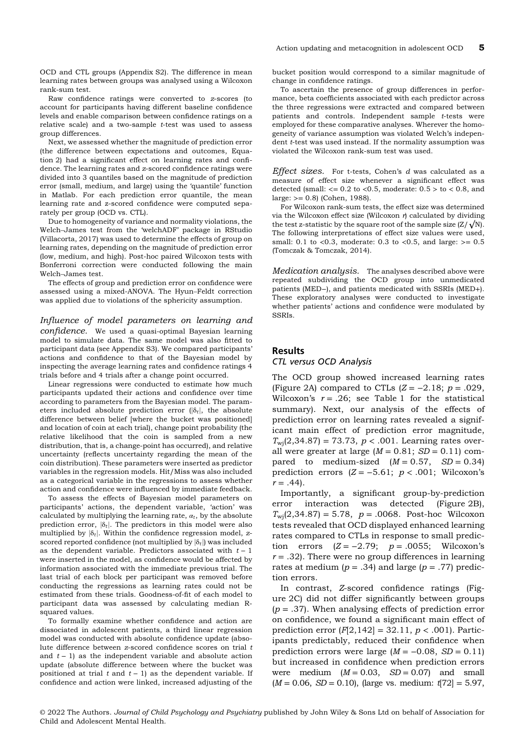OCD and CTL groups (Appendix S2). The difference in mean learning rates between groups was analysed using a Wilcoxon rank-sum test.

Raw confidence ratings were converted to z-scores (to account for participants having different baseline confidence levels and enable comparison between confidence ratings on a relative scale) and a two-sample  $t$ -test was used to assess group differences.

Next, we assessed whether the magnitude of prediction error (the difference between expectations and outcomes, Equation 2) had a significant effect on learning rates and confidence. The learning rates and z-scored confidence ratings were divided into 3 quantiles based on the magnitude of prediction error (small, medium, and large) using the 'quantile' function in Matlab. For each prediction error quantile, the mean learning rate and z-scored confidence were computed separately per group (OCD vs. CTL).

Due to homogeneity of variance and normality violations, the Welch–James test from the 'welchADF' package in RStudio (Villacorta, 2017) was used to determine the effects of group on learning rates, depending on the magnitude of prediction error (low, medium, and high). Post-hoc paired Wilcoxon tests with Bonferroni correction were conducted following the main Welch–James test.

The effects of group and prediction error on confidence were assessed using a mixed-ANOVA. The Hyun–Feldt correction was applied due to violations of the sphericity assumption.

Influence of model parameters on learning and confidence. We used a quasi-optimal Bayesian learning model to simulate data. The same model was also fitted to participant data (see Appendix S3). We compared participants' actions and confidence to that of the Bayesian model by inspecting the average learning rates and confidence ratings 4 trials before and 4 trials after a change point occurred.

Linear regressions were conducted to estimate how much participants updated their actions and confidence over time according to parameters from the Bayesian model. The parameters included absolute prediction error ( $|\delta_t|$ , the absolute difference between belief [where the bucket was positioned] and location of coin at each trial), change point probability (the relative likelihood that the coin is sampled from a new distribution, that is, a change-point has occurred), and relative uncertainty (reflects uncertainty regarding the mean of the coin distribution). These parameters were inserted as predictor variables in the regression models. Hit/Miss was also included as a categorical variable in the regressions to assess whether action and confidence were influenced by immediate feedback.

To assess the effects of Bayesian model parameters on participants' actions, the dependent variable, 'action' was calculated by multiplying the learning rate,  $\alpha_t$ , by the absolute prediction error,  $|\delta_t|$ . The predictors in this model were also multiplied by  $|\delta_t|$ . Within the confidence regression model, zscored reported confidence (not multiplied by  $|\delta_t|$ ) was included as the dependent variable. Predictors associated with  $t - 1$ were inserted in the model, as confidence would be affected by information associated with the immediate previous trial. The last trial of each block per participant was removed before conducting the regressions as learning rates could not be estimated from these trials. Goodness-of-fit of each model to participant data was assessed by calculating median Rsquared values.

To formally examine whether confidence and action are dissociated in adolescent patients, a third linear regression model was conducted with absolute confidence update (absolute difference between z-scored confidence scores on trial t and  $t - 1$ ) as the independent variable and absolute action update (absolute difference between where the bucket was positioned at trial t and  $t - 1$ ) as the dependent variable. If confidence and action were linked, increased adjusting of the bucket position would correspond to a similar magnitude of change in confidence ratings.

To ascertain the presence of group differences in performance, beta coefficients associated with each predictor across the three regressions were extracted and compared between patients and controls. Independent sample t-tests were employed for these comparative analyses. Wherever the homogeneity of variance assumption was violated Welch's independent *t*-test was used instead. If the normality assumption was violated the Wilcoxon rank-sum test was used.

Effect sizes. For t-tests, Cohen's d was calculated as a measure of effect size whenever a significant effect was detected (small:  $<= 0.2$  to  $<0.5$ , moderate:  $0.5$  > to  $< 0.8$ , and large: >= 0.8) (Cohen, 1988).

For Wilcoxon rank-sum tests, the effect size was determined via the Wilcoxon effect size (Wilcoxon  $r$ ) calculated by dividing the test z-statistic by the square root of the sample size  $(Z/\sqrt{N})$ . The following interpretations of effect size values were used, small: 0.1 to <0.3, moderate: 0.3 to <0.5, and large:  $> = 0.5$ (Tomczak & Tomczak, 2014).

Medication analysis. The analyses described above were repeated subdividing the OCD group into unmedicated patients (MED−), and patients medicated with SSRIs (MED+). These exploratory analyses were conducted to investigate whether patients' actions and confidence were modulated by SSRIs.

#### Results

#### CTL versus OCD Analysis

The OCD group showed increased learning rates (Figure 2A) compared to CTLs  $(Z = -2.18; p = .029)$ , Wilcoxon's  $r = .26$ ; see Table 1 for the statistical summary). Next, our analysis of the effects of prediction error on learning rates revealed a significant main effect of prediction error magnitude,  $T_{\text{wi}}(2,34.87) = 73.73, p < .001$ . Learning rates overall were greater at large  $(M = 0.81; SD = 0.11)$  compared to medium-sized  $(M = 0.57, SD = 0.34)$ prediction errors  $(Z = -5.61; p < .001;$  Wilcoxon's  $r = .44$ .

Importantly, a significant group-by-prediction error interaction was detected (Figure 2B),  $T_{\text{wi}}(2,34.87) = 5.78, p = .0068.$  Post-hoc Wilcoxon tests revealed that OCD displayed enhanced learning rates compared to CTLs in response to small prediction errors  $(Z = -2.79; p = .0055;$  Wilcoxon's  $r = .32$ ). There were no group differences in learning rates at medium ( $p = .34$ ) and large ( $p = .77$ ) prediction errors.

In contrast, Z-scored confidence ratings (Figure 2C) did not differ significantly between groups  $(p=.37)$ . When analysing effects of prediction error on confidence, we found a significant main effect of prediction error  $[F|2,142] = 32.11, p < .001$ . Participants predictably, reduced their confidence when prediction errors were large  $(M = -0.08, SD = 0.11)$ but increased in confidence when prediction errors were medium  $(M = 0.03, SD = 0.07)$  and small  $(M = 0.06, SD = 0.10)$ , (large vs. medium:  $t[72] = 5.97$ ,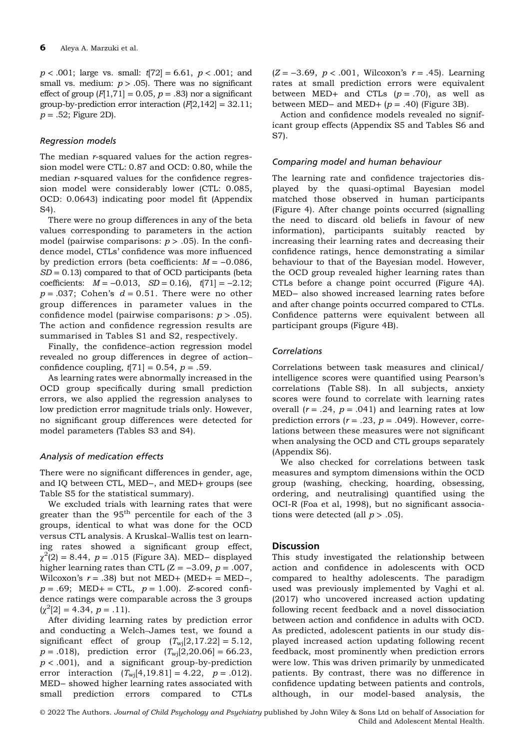$p < .001$ ; large vs. small:  $t[72] = 6.61, p < .001$ ; and small vs. medium:  $p > .05$ ). There was no significant effect of group  $[F|1,71] = 0.05$ ,  $p = .83$  nor a significant group-by-prediction error interaction  $(F[2,142] = 32.11;$  $p = .52$ ; Figure 2D).

#### Regression models

The median *r*-squared values for the action regression model were CTL: 0.87 and OCD: 0.80, while the median r-squared values for the confidence regression model were considerably lower (CTL: 0.085, OCD: 0.0643) indicating poor model fit (Appendix S4).

There were no group differences in any of the beta values corresponding to parameters in the action model (pairwise comparisons:  $p > .05$ ). In the confidence model, CTLs' confidence was more influenced by prediction errors (beta coefficients:  $M = -0.086$ ,  $SD = 0.13$ ) compared to that of OCD participants (beta coefficients:  $M = -0.013$ ,  $SD = 0.16$ ,  $t[71] = -2.12$ ;  $p = .037$ ; Cohen's  $d = 0.51$ . There were no other group differences in parameter values in the confidence model (pairwise comparisons:  $p > .05$ ). The action and confidence regression results are summarised in Tables S1 and S2, respectively.

Finally, the confidence–action regression model revealed no group differences in degree of action– confidence coupling,  $t[71] = 0.54$ ,  $p = .59$ .

As learning rates were abnormally increased in the OCD group specifically during small prediction errors, we also applied the regression analyses to low prediction error magnitude trials only. However, no significant group differences were detected for model parameters (Tables S3 and S4).

# Analysis of medication effects

There were no significant differences in gender, age, and IQ between CTL, MED−, and MED+ groups (see Table S5 for the statistical summary).

We excluded trials with learning rates that were greater than the  $95<sup>th</sup>$  percentile for each of the 3 groups, identical to what was done for the OCD versus CTL analysis. A Kruskal–Wallis test on learning rates showed a significant group effect,  $\chi^2(2) = 8.44, p = .015$  (Figure 3A). MED- displayed higher learning rates than CTL ( $Z = -3.09$ ,  $p = .007$ , Wilcoxon's  $r = .38$ ) but not MED+ (MED+ = MED-,  $p = .69$ ; MED+ = CTL,  $p = 1.00$ ). Z-scored confidence ratings were comparable across the 3 groups  $\left[\chi^2[2] = 4.34, p = .11\right].$ 

After dividing learning rates by prediction error and conducting a Welch–James test, we found a significant effect of group  $(T_{\text{wi}}[2,17.22] = 5.12,$  $p = .018$ , prediction error  $(T_{\text{wij}}[2,20.06] = 66.23$ ,  $p < .001$ ), and a significant group-by-prediction error interaction  $(T_{\text{wj}}[4,19.81] = 4.22, p = .012)$ . MED− showed higher learning rates associated with small prediction errors compared to CTLs

 $(Z = -3.69, p < .001,$  Wilcoxon's  $r = .45$ ). Learning rates at small prediction errors were equivalent between MED+ and CTLs  $(p=.70)$ , as well as between MED– and MED+  $(p = .40)$  (Figure 3B).

Action and confidence models revealed no significant group effects (Appendix S5 and Tables S6 and S7).

#### Comparing model and human behaviour

The learning rate and confidence trajectories displayed by the quasi-optimal Bayesian model matched those observed in human participants (Figure 4). After change points occurred (signalling the need to discard old beliefs in favour of new information), participants suitably reacted by increasing their learning rates and decreasing their confidence ratings, hence demonstrating a similar behaviour to that of the Bayesian model. However, the OCD group revealed higher learning rates than CTLs before a change point occurred (Figure 4A). MED− also showed increased learning rates before and after change points occurred compared to CTLs. Confidence patterns were equivalent between all participant groups (Figure 4B).

#### Correlations

Correlations between task measures and clinical/ intelligence scores were quantified using Pearson's correlations (Table S8). In all subjects, anxiety scores were found to correlate with learning rates overall  $(r = .24, p = .041)$  and learning rates at low prediction errors ( $r = .23$ ,  $p = .049$ ). However, correlations between these measures were not significant when analysing the OCD and CTL groups separately (Appendix S6).

We also checked for correlations between task measures and symptom dimensions within the OCD group (washing, checking, hoarding, obsessing, ordering, and neutralising) quantified using the OCI-R (Foa et al, 1998), but no significant associations were detected (all  $p > .05$ ).

#### Discussion

This study investigated the relationship between action and confidence in adolescents with OCD compared to healthy adolescents. The paradigm used was previously implemented by Vaghi et al. (2017) who uncovered increased action updating following recent feedback and a novel dissociation between action and confidence in adults with OCD. As predicted, adolescent patients in our study displayed increased action updating following recent feedback, most prominently when prediction errors were low. This was driven primarily by unmedicated patients. By contrast, there was no difference in confidence updating between patients and controls, although, in our model-based analysis, the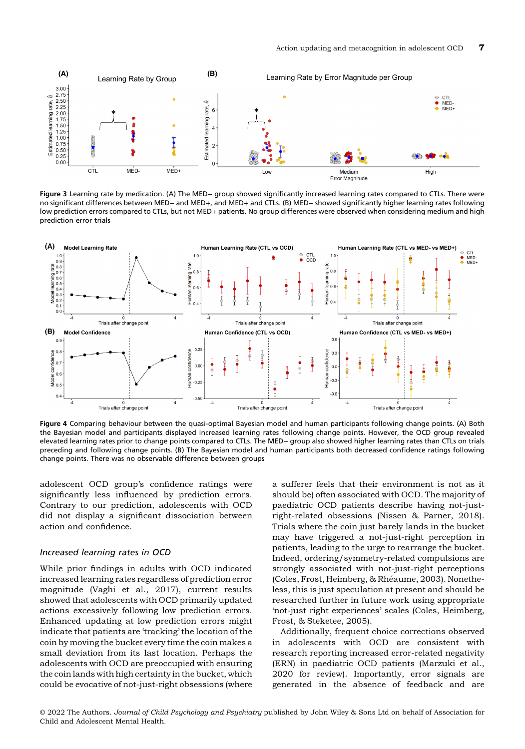

Figure 3 Learning rate by medication. (A) The MED− group showed significantly increased learning rates compared to CTLs. There were no significant differences between MED− and MED+, and MED+ and CTLs. (B) MED− showed significantly higher learning rates following low prediction errors compared to CTLs, but not MED+ patients. No group differences were observed when considering medium and high prediction error trials



Figure 4 Comparing behaviour between the quasi-optimal Bayesian model and human participants following change points. (A) Both the Bayesian model and participants displayed increased learning rates following change points. However, the OCD group revealed elevated learning rates prior to change points compared to CTLs. The MED− group also showed higher learning rates than CTLs on trials preceding and following change points. (B) The Bayesian model and human participants both decreased confidence ratings following change points. There was no observable difference between groups

adolescent OCD group's confidence ratings were significantly less influenced by prediction errors. Contrary to our prediction, adolescents with OCD did not display a significant dissociation between action and confidence.

#### Increased learning rates in OCD

While prior findings in adults with OCD indicated increased learning rates regardless of prediction error magnitude (Vaghi et al., 2017), current results showed that adolescents with OCD primarily updated actions excessively following low prediction errors. Enhanced updating at low prediction errors might indicate that patients are 'tracking' the location of the coin by moving the bucket every time the coin makes a small deviation from its last location. Perhaps the adolescents with OCD are preoccupied with ensuring the coin lands with high certainty in the bucket, which could be evocative of not-just-right obsessions (where

a sufferer feels that their environment is not as it should be) often associated with OCD. The majority of paediatric OCD patients describe having not-justright-related obsessions (Nissen & Parner, 2018). Trials where the coin just barely lands in the bucket may have triggered a not-just-right perception in patients, leading to the urge to rearrange the bucket. Indeed, ordering/symmetry-related compulsions are strongly associated with not-just-right perceptions (Coles, Frost, Heimberg, & Rhéaume, 2003). Nonetheless, this is just speculation at present and should be researched further in future work using appropriate 'not-just right experiences' scales (Coles, Heimberg, Frost, & Steketee, 2005).

Additionally, frequent choice corrections observed in adolescents with OCD are consistent with research reporting increased error-related negativity (ERN) in paediatric OCD patients (Marzuki et al., 2020 for review). Importantly, error signals are generated in the absence of feedback and are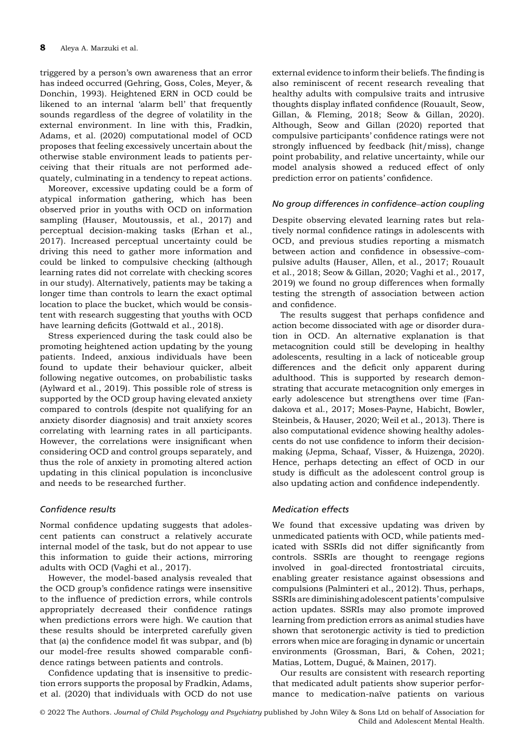triggered by a person's own awareness that an error has indeed occurred (Gehring, Goss, Coles, Meyer, & Donchin, 1993). Heightened ERN in OCD could be likened to an internal 'alarm bell' that frequently sounds regardless of the degree of volatility in the external environment. In line with this, Fradkin, Adams, et al. (2020) computational model of OCD proposes that feeling excessively uncertain about the otherwise stable environment leads to patients perceiving that their rituals are not performed adequately, culminating in a tendency to repeat actions.

Moreover, excessive updating could be a form of atypical information gathering, which has been observed prior in youths with OCD on information sampling (Hauser, Moutoussis, et al., 2017) and perceptual decision-making tasks (Erhan et al., 2017). Increased perceptual uncertainty could be driving this need to gather more information and could be linked to compulsive checking (although learning rates did not correlate with checking scores in our study). Alternatively, patients may be taking a longer time than controls to learn the exact optimal location to place the bucket, which would be consistent with research suggesting that youths with OCD have learning deficits (Gottwald et al., 2018).

Stress experienced during the task could also be promoting heightened action updating by the young patients. Indeed, anxious individuals have been found to update their behaviour quicker, albeit following negative outcomes, on probabilistic tasks (Aylward et al., 2019). This possible role of stress is supported by the OCD group having elevated anxiety compared to controls (despite not qualifying for an anxiety disorder diagnosis) and trait anxiety scores correlating with learning rates in all participants. However, the correlations were insignificant when considering OCD and control groups separately, and thus the role of anxiety in promoting altered action updating in this clinical population is inconclusive and needs to be researched further.

# Confidence results

Normal confidence updating suggests that adolescent patients can construct a relatively accurate internal model of the task, but do not appear to use this information to guide their actions, mirroring adults with OCD (Vaghi et al., 2017).

However, the model-based analysis revealed that the OCD group's confidence ratings were insensitive to the influence of prediction errors, while controls appropriately decreased their confidence ratings when predictions errors were high. We caution that these results should be interpreted carefully given that (a) the confidence model fit was subpar, and (b) our model-free results showed comparable confidence ratings between patients and controls.

Confidence updating that is insensitive to prediction errors supports the proposal by Fradkin, Adams, et al. (2020) that individuals with OCD do not use external evidence to inform their beliefs. The finding is also reminiscent of recent research revealing that healthy adults with compulsive traits and intrusive thoughts display inflated confidence (Rouault, Seow, Gillan, & Fleming, 2018; Seow & Gillan, 2020). Although, Seow and Gillan (2020) reported that compulsive participants' confidence ratings were not strongly influenced by feedback (hit/miss), change point probability, and relative uncertainty, while our model analysis showed a reduced effect of only prediction error on patients' confidence.

#### No group differences in confidence–action coupling

Despite observing elevated learning rates but relatively normal confidence ratings in adolescents with OCD, and previous studies reporting a mismatch between action and confidence in obsessive–compulsive adults (Hauser, Allen, et al., 2017; Rouault et al., 2018; Seow & Gillan, 2020; Vaghi et al., 2017, 2019) we found no group differences when formally testing the strength of association between action and confidence.

The results suggest that perhaps confidence and action become dissociated with age or disorder duration in OCD. An alternative explanation is that metacognition could still be developing in healthy adolescents, resulting in a lack of noticeable group differences and the deficit only apparent during adulthood. This is supported by research demonstrating that accurate metacognition only emerges in early adolescence but strengthens over time (Fandakova et al., 2017; Moses-Payne, Habicht, Bowler, Steinbeis, & Hauser, 2020; Weil et al., 2013). There is also computational evidence showing healthy adolescents do not use confidence to inform their decisionmaking (Jepma, Schaaf, Visser, & Huizenga, 2020). Hence, perhaps detecting an effect of OCD in our study is difficult as the adolescent control group is also updating action and confidence independently.

#### Medication effects

We found that excessive updating was driven by unmedicated patients with OCD, while patients medicated with SSRIs did not differ significantly from controls. SSRIs are thought to reengage regions involved in goal-directed frontostriatal circuits, enabling greater resistance against obsessions and compulsions (Palminteri et al., 2012). Thus, perhaps, SSRIs are diminishing adolescent patients' compulsive action updates. SSRIs may also promote improved learning from prediction errors as animal studies have shown that serotonergic activity is tied to prediction errors when mice are foraging in dynamic or uncertain environments (Grossman, Bari, & Cohen, 2021; Matias, Lottem, Dugué, & Mainen, 2017).

Our results are consistent with research reporting that medicated adult patients show superior performance to medication-naïve patients on various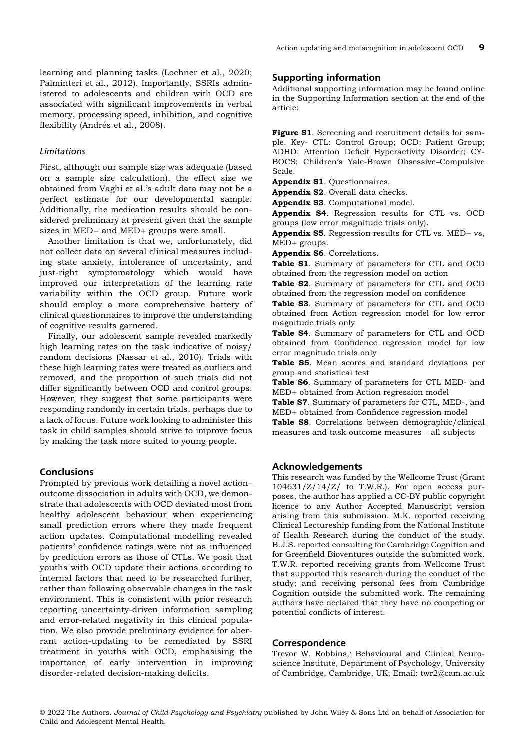learning and planning tasks (Lochner et al., 2020; Palminteri et al., 2012). Importantly, SSRIs administered to adolescents and children with OCD are associated with significant improvements in verbal memory, processing speed, inhibition, and cognitive flexibility (Andrés et al., 2008).

# Limitations

First, although our sample size was adequate (based on a sample size calculation), the effect size we obtained from Vaghi et al.'s adult data may not be a perfect estimate for our developmental sample. Additionally, the medication results should be considered preliminary at present given that the sample sizes in MED− and MED+ groups were small.

Another limitation is that we, unfortunately, did not collect data on several clinical measures including state anxiety, intolerance of uncertainty, and just-right symptomatology which would have improved our interpretation of the learning rate variability within the OCD group. Future work should employ a more comprehensive battery of clinical questionnaires to improve the understanding of cognitive results garnered.

Finally, our adolescent sample revealed markedly high learning rates on the task indicative of noisy/ random decisions (Nassar et al., 2010). Trials with these high learning rates were treated as outliers and removed, and the proportion of such trials did not differ significantly between OCD and control groups. However, they suggest that some participants were responding randomly in certain trials, perhaps due to a lack of focus. Future work looking to administer this task in child samples should strive to improve focus by making the task more suited to young people.

# **Conclusions**

Prompted by previous work detailing a novel action– outcome dissociation in adults with OCD, we demonstrate that adolescents with OCD deviated most from healthy adolescent behaviour when experiencing small prediction errors where they made frequent action updates. Computational modelling revealed patients' confidence ratings were not as influenced by prediction errors as those of CTLs. We posit that youths with OCD update their actions according to internal factors that need to be researched further, rather than following observable changes in the task environment. This is consistent with prior research reporting uncertainty-driven information sampling and error-related negativity in this clinical population. We also provide preliminary evidence for aberrant action-updating to be remediated by SSRI treatment in youths with OCD, emphasising the importance of early intervention in improving disorder-related decision-making deficits.

# Supporting information

Additional supporting information may be found online in the Supporting Information section at the end of the article:

Figure S1. Screening and recruitment details for sample. Key- CTL: Control Group; OCD: Patient Group; ADHD: Attention Deficit Hyperactivity Disorder; CY-BOCS: Children's Yale-Brown Obsessive–Compulsive Scale.

Appendix S1. Questionnaires.

Appendix S2. Overall data checks.

Appendix S3. Computational model.

Appendix S4. Regression results for CTL vs. OCD groups (low error magnitude trials only).

Appendix S5. Regression results for CTL vs. MED- vs, MED+ groups.

Appendix S6. Correlations.

Table S1. Summary of parameters for CTL and OCD obtained from the regression model on action

Table S2. Summary of parameters for CTL and OCD obtained from the regression model on confidence

Table S3. Summary of parameters for CTL and OCD obtained from Action regression model for low error magnitude trials only

Table S4. Summary of parameters for CTL and OCD obtained from Confidence regression model for low error magnitude trials only

Table S5. Mean scores and standard deviations per group and statistical test

Table S6. Summary of parameters for CTL MED- and MED+ obtained from Action regression model

Table S7. Summary of parameters for CTL, MED-, and MED+ obtained from Confidence regression model

Table S8. Correlations between demographic/clinical measures and task outcome measures – all subjects

# Acknowledgements

This research was funded by the Wellcome Trust (Grant  $104631/Z/14/Z/$  to T.W.R.). For open access purposes, the author has applied a CC-BY public copyright licence to any Author Accepted Manuscript version arising from this submission. M.K. reported receiving Clinical Lectureship funding from the National Institute of Health Research during the conduct of the study. B.J.S. reported consulting for Cambridge Cognition and for Greenfield Bioventures outside the submitted work. T.W.R. reported receiving grants from Wellcome Trust that supported this research during the conduct of the study; and receiving personal fees from Cambridge Cognition outside the submitted work. The remaining authors have declared that they have no competing or potential conflicts of interest.

#### Correspondence

Trevor W. Robbins,' Behavioural and Clinical Neuroscience Institute, Department of Psychology, University of Cambridge, Cambridge, UK; Email: twr2@cam.ac.uk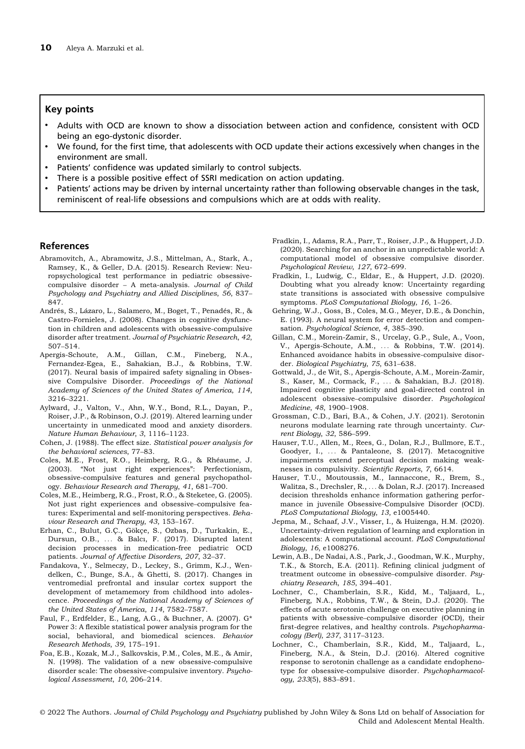#### Key points

- Adults with OCD are known to show a dissociation between action and confidence, consistent with OCD being an ego-dystonic disorder.
- We found, for the first time, that adolescents with OCD update their actions excessively when changes in the environment are small.
- Patients' confidence was updated similarly to control subjects.
- There is a possible positive effect of SSRI medication on action updating.
- Patients' actions may be driven by internal uncertainty rather than following observable changes in the task, reminiscent of real-life obsessions and compulsions which are at odds with reality.

## References

- Abramovitch, A., Abramowitz, J.S., Mittelman, A., Stark, A., Ramsey, K., & Geller, D.A. (2015). Research Review: Neuropsychological test performance in pediatric obsessivecompulsive disorder – A meta-analysis. Journal of Child Psychology and Psychiatry and Allied Disciplines, 56, 837– 847.
- Andrés, S., Lázaro, L., Salamero, M., Boget, T., Penadés, R., & Castro-Fornieles, J. (2008). Changes in cognitive dysfunction in children and adolescents with obsessive-compulsive disorder after treatment. Journal of Psychiatric Research, 42, 507–514.
- Apergis-Schoute, A.M., Gillan, C.M., Fineberg, N.A., Fernandez-Egea, E., Sahakian, B.J., & Robbins, T.W. (2017). Neural basis of impaired safety signaling in Obsessive Compulsive Disorder. Proceedings of the National Academy of Sciences of the United States of America, 114, 3216–3221.
- Aylward, J., Valton, V., Ahn, W.Y., Bond, R.L., Dayan, P., Roiser, J.P., & Robinson, O.J. (2019). Altered learning under uncertainty in unmedicated mood and anxiety disorders. Nature Human Behaviour, 3, 1116–1123.
- Cohen, J. (1988). The effect size. Statistical power analysis for the behavioral sciences, 77–83.
- Coles, M.E., Frost, R.O., Heimberg, R.G., & Rheaume, J. ´ (2003). "Not just right experiences": Perfectionism, obsessive-compulsive features and general psychopathology. Behaviour Research and Therapy, 41, 681–700.
- Coles, M.E., Heimberg, R.G., Frost, R.O., & Steketee, G. (2005). Not just right experiences and obsessive–compulsive features: Experimental and self-monitoring perspectives. Behaviour Research and Therapy, 43, 153–167.
- Erhan, C., Bulut, G.Ç., Gökçe, S., Ozbas, D., Turkakin, E., Dursun, O.B., ... & Balcı, F. (2017). Disrupted latent decision processes in medication-free pediatric OCD patients. Journal of Affective Disorders, 207, 32–37.
- Fandakova, Y., Selmeczy, D., Leckey, S., Grimm, K.J., Wendelken, C., Bunge, S.A., & Ghetti, S. (2017). Changes in ventromedial prefrontal and insular cortex support the development of metamemory from childhood into adolescence. Proceedings of the National Academy of Sciences of the United States of America, 114, 7582–7587.
- Faul, F., Erdfelder, E., Lang, A.G., & Buchner, A. (2007). G\* Power 3: A flexible statistical power analysis program for the social, behavioral, and biomedical sciences. Behavior Research Methods, 39, 175–191.
- Foa, E.B., Kozak, M.J., Salkovskis, P.M., Coles, M.E., & Amir, N. (1998). The validation of a new obsessive-compulsive disorder scale: The obsessive-compulsive inventory. Psychological Assessment, 10, 206–214.
- Fradkin, I., Adams, R.A., Parr, T., Roiser, J.P., & Huppert, J.D. (2020). Searching for an anchor in an unpredictable world: A computational model of obsessive compulsive disorder. Psychological Review, 127, 672–699.
- Fradkin, I., Ludwig, C., Eldar, E., & Huppert, J.D. (2020). Doubting what you already know: Uncertainty regarding state transitions is associated with obsessive compulsive symptoms. PLoS Computational Biology, 16, 1–26.
- Gehring, W.J., Goss, B., Coles, M.G., Meyer, D.E., & Donchin, E. (1993). A neural system for error detection and compensation. Psychological Science, 4, 385–390.
- Gillan, C.M., Morein-Zamir, S., Urcelay, G.P., Sule, A., Voon, V., Apergis-Schoute, A.M., ... & Robbins, T.W. (2014). Enhanced avoidance habits in obsessive-compulsive disorder. Biological Psychiatry, 75, 631–638.
- Gottwald, J., de Wit, S., Apergis-Schoute, A.M., Morein-Zamir, S., Kaser, M., Cormack, F., ... & Sahakian, B.J. (2018). Impaired cognitive plasticity and goal-directed control in adolescent obsessive–compulsive disorder. Psychological Medicine, 48, 1900–1908.
- Grossman, C.D., Bari, B.A., & Cohen, J.Y. (2021). Serotonin neurons modulate learning rate through uncertainty. Current Biology, 32, 586–599.
- Hauser, T.U., Allen, M., Rees, G., Dolan, R.J., Bullmore, E.T., Goodyer, I., ... & Pantaleone, S. (2017). Metacognitive impairments extend perceptual decision making weaknesses in compulsivity. Scientific Reports, 7, 6614.
- Hauser, T.U., Moutoussis, M., Iannaccone, R., Brem, S., Walitza, S., Drechsler, R., ... & Dolan, R.J. (2017). Increased decision thresholds enhance information gathering performance in juvenile Obsessive-Compulsive Disorder (OCD). PLoS Computational Biology, 13, e1005440.
- Jepma, M., Schaaf, J.V., Visser, I., & Huizenga, H.M. (2020). Uncertainty-driven regulation of learning and exploration in adolescents: A computational account. PLoS Computational Biology, 16, e1008276.
- Lewin, A.B., De Nadai, A.S., Park, J., Goodman, W.K., Murphy, T.K., & Storch, E.A. (2011). Refining clinical judgment of treatment outcome in obsessive–compulsive disorder. Psychiatry Research, 185, 394–401.
- Lochner, C., Chamberlain, S.R., Kidd, M., Taljaard, L., Fineberg, N.A., Robbins, T.W., & Stein, D.J. (2020). The effects of acute serotonin challenge on executive planning in patients with obsessive–compulsive disorder (OCD), their first-degree relatives, and healthy controls. Psychopharmacology (Berl), 237, 3117–3123.
- Lochner, C., Chamberlain, S.R., Kidd, M., Taljaard, L., Fineberg, N.A., & Stein, D.J. (2016). Altered cognitive response to serotonin challenge as a candidate endophenotype for obsessive-compulsive disorder. Psychopharmacology, 233(5), 883–891.